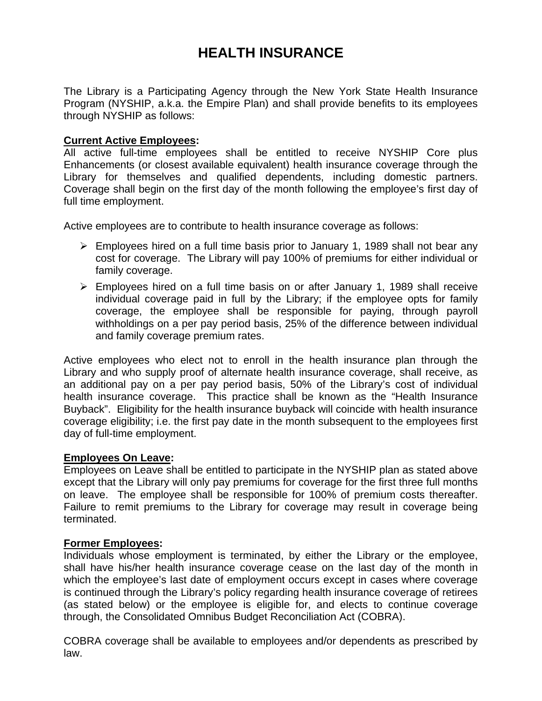# **HEALTH INSURANCE**

The Library is a Participating Agency through the New York State Health Insurance Program (NYSHIP, a.k.a. the Empire Plan) and shall provide benefits to its employees through NYSHIP as follows:

### **Current Active Employees:**

All active full-time employees shall be entitled to receive NYSHIP Core plus Enhancements (or closest available equivalent) health insurance coverage through the Library for themselves and qualified dependents, including domestic partners. Coverage shall begin on the first day of the month following the employee's first day of full time employment.

Active employees are to contribute to health insurance coverage as follows:

- $\triangleright$  Employees hired on a full time basis prior to January 1, 1989 shall not bear any cost for coverage. The Library will pay 100% of premiums for either individual or family coverage.
- ¾ Employees hired on a full time basis on or after January 1, 1989 shall receive individual coverage paid in full by the Library; if the employee opts for family coverage, the employee shall be responsible for paying, through payroll withholdings on a per pay period basis, 25% of the difference between individual and family coverage premium rates.

Active employees who elect not to enroll in the health insurance plan through the Library and who supply proof of alternate health insurance coverage, shall receive, as an additional pay on a per pay period basis, 50% of the Library's cost of individual health insurance coverage. This practice shall be known as the "Health Insurance Buyback".Eligibility for the health insurance buyback will coincide with health insurance coverage eligibility; i.e. the first pay date in the month subsequent to the employees first day of full-time employment.

### **Employees On Leave:**

Employees on Leave shall be entitled to participate in the NYSHIP plan as stated above except that the Library will only pay premiums for coverage for the first three full months on leave. The employee shall be responsible for 100% of premium costs thereafter. Failure to remit premiums to the Library for coverage may result in coverage being terminated.

### **Former Employees:**

Individuals whose employment is terminated, by either the Library or the employee, shall have his/her health insurance coverage cease on the last day of the month in which the employee's last date of employment occurs except in cases where coverage is continued through the Library's policy regarding health insurance coverage of retirees (as stated below) or the employee is eligible for, and elects to continue coverage through, the Consolidated Omnibus Budget Reconciliation Act (COBRA).

COBRA coverage shall be available to employees and/or dependents as prescribed by law.